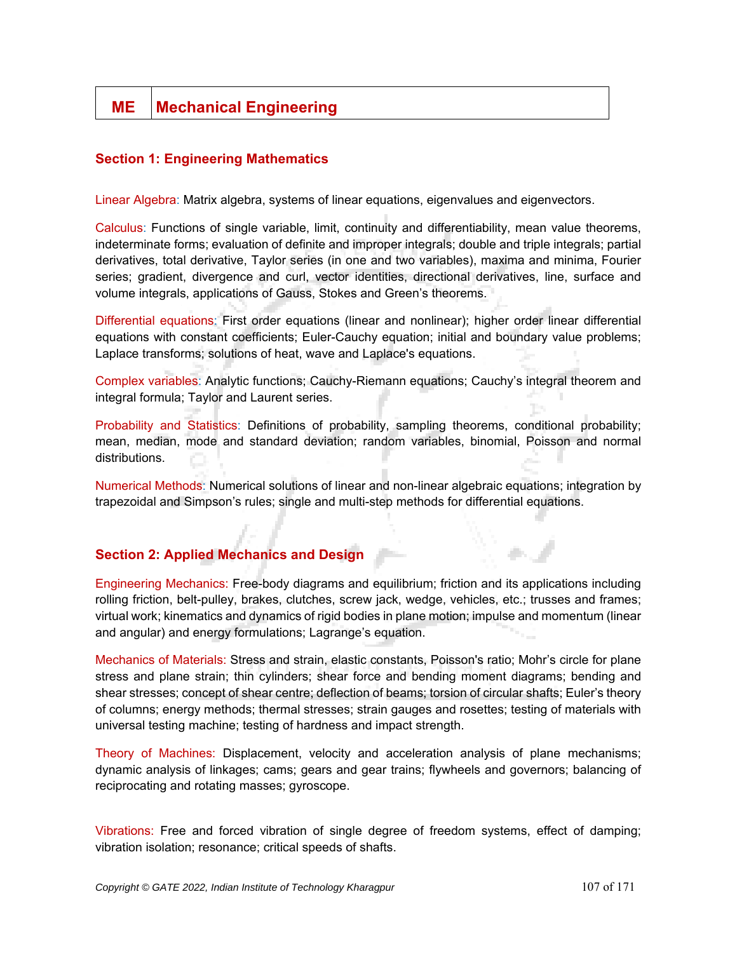# **ME** | Mechanical Engineering

# **Section 1: Engineering Mathematics**

Linear Algebra: Matrix algebra, systems of linear equations, eigenvalues and eigenvectors.

Calculus: Functions of single variable, limit, continuity and differentiability, mean value theorems, indeterminate forms; evaluation of definite and improper integrals; double and triple integrals; partial derivatives, total derivative, Taylor series (in one and two variables), maxima and minima, Fourier series; gradient, divergence and curl, vector identities, directional derivatives, line, surface and volume integrals, applications of Gauss, Stokes and Green's theorems.

Differential equations: First order equations (linear and nonlinear); higher order linear differential equations with constant coefficients; Euler-Cauchy equation; initial and boundary value problems; Laplace transforms; solutions of heat, wave and Laplace's equations.

Complex variables: Analytic functions; Cauchy-Riemann equations; Cauchy's integral theorem and integral formula; Taylor and Laurent series.

Probability and Statistics: Definitions of probability, sampling theorems, conditional probability; mean, median, mode and standard deviation; random variables, binomial, Poisson and normal distributions.

Numerical Methods: Numerical solutions of linear and non-linear algebraic equations; integration by trapezoidal and Simpson's rules; single and multi-step methods for differential equations.

# **Section 2: Applied Mechanics and Design**

Engineering Mechanics: Free-body diagrams and equilibrium; friction and its applications including rolling friction, belt-pulley, brakes, clutches, screw jack, wedge, vehicles, etc.; trusses and frames; virtual work; kinematics and dynamics of rigid bodies in plane motion; impulse and momentum (linear and angular) and energy formulations; Lagrange's equation.

Mechanics of Materials: Stress and strain, elastic constants, Poisson's ratio; Mohr's circle for plane stress and plane strain; thin cylinders; shear force and bending moment diagrams; bending and shear stresses; concept of shear centre; deflection of beams; torsion of circular shafts; Euler's theory of columns; energy methods; thermal stresses; strain gauges and rosettes; testing of materials with universal testing machine; testing of hardness and impact strength.

Theory of Machines: Displacement, velocity and acceleration analysis of plane mechanisms; dynamic analysis of linkages; cams; gears and gear trains; flywheels and governors; balancing of reciprocating and rotating masses; gyroscope.

Vibrations: Free and forced vibration of single degree of freedom systems, effect of damping; vibration isolation; resonance; critical speeds of shafts.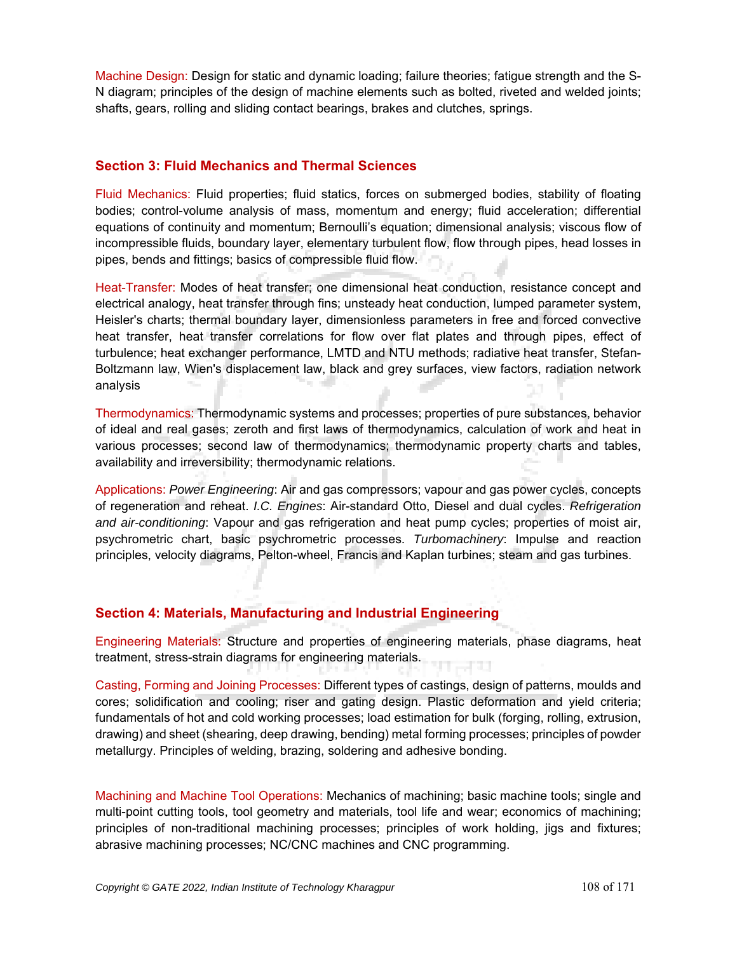Machine Design: Design for static and dynamic loading; failure theories; fatigue strength and the S-N diagram; principles of the design of machine elements such as bolted, riveted and welded joints; shafts, gears, rolling and sliding contact bearings, brakes and clutches, springs.

#### **Section 3: Fluid Mechanics and Thermal Sciences**

Fluid Mechanics: Fluid properties; fluid statics, forces on submerged bodies, stability of floating bodies; control-volume analysis of mass, momentum and energy; fluid acceleration; differential equations of continuity and momentum; Bernoulli's equation; dimensional analysis; viscous flow of incompressible fluids, boundary layer, elementary turbulent flow, flow through pipes, head losses in pipes, bends and fittings; basics of compressible fluid flow.

Heat-Transfer: Modes of heat transfer; one dimensional heat conduction, resistance concept and electrical analogy, heat transfer through fins; unsteady heat conduction, lumped parameter system, Heisler's charts; thermal boundary layer, dimensionless parameters in free and forced convective heat transfer, heat transfer correlations for flow over flat plates and through pipes, effect of turbulence; heat exchanger performance, LMTD and NTU methods; radiative heat transfer, Stefan-Boltzmann law, Wien's displacement law, black and grey surfaces, view factors, radiation network analysis

Thermodynamics: Thermodynamic systems and processes; properties of pure substances, behavior of ideal and real gases; zeroth and first laws of thermodynamics, calculation of work and heat in various processes; second law of thermodynamics; thermodynamic property charts and tables, availability and irreversibility; thermodynamic relations.

Applications: *Power Engineering*: Air and gas compressors; vapour and gas power cycles, concepts of regeneration and reheat. *I.C. Engines*: Air-standard Otto, Diesel and dual cycles. *Refrigeration and air-conditioning*: Vapour and gas refrigeration and heat pump cycles; properties of moist air, psychrometric chart, basic psychrometric processes. *Turbomachinery*: Impulse and reaction principles, velocity diagrams, Pelton-wheel, Francis and Kaplan turbines; steam and gas turbines.

# **Section 4: Materials, Manufacturing and Industrial Engineering**

Engineering Materials: Structure and properties of engineering materials, phase diagrams, heat treatment, stress-strain diagrams for engineering materials.

Casting, Forming and Joining Processes: Different types of castings, design of patterns, moulds and cores; solidification and cooling; riser and gating design. Plastic deformation and yield criteria; fundamentals of hot and cold working processes; load estimation for bulk (forging, rolling, extrusion, drawing) and sheet (shearing, deep drawing, bending) metal forming processes; principles of powder metallurgy. Principles of welding, brazing, soldering and adhesive bonding.

Machining and Machine Tool Operations: Mechanics of machining; basic machine tools; single and multi-point cutting tools, tool geometry and materials, tool life and wear; economics of machining; principles of non-traditional machining processes; principles of work holding, jigs and fixtures; abrasive machining processes; NC/CNC machines and CNC programming.